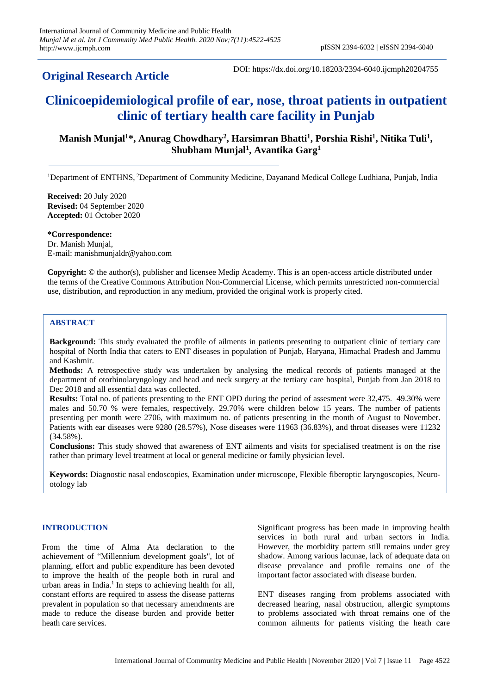# **Original Research Article**

DOI: https://dx.doi.org/10.18203/2394-6040.ijcmph20204755

# **Clinicoepidemiological profile of ear, nose, throat patients in outpatient clinic of tertiary health care facility in Punjab**

# Manish Munjal<sup>1\*</sup>, Anurag Chowdhary<sup>2</sup>, Harsimran Bhatti<sup>1</sup>, Porshia Rishi<sup>1</sup>, Nitika Tuli<sup>1</sup>, **Shubham Munjal<sup>1</sup> , Avantika Garg<sup>1</sup>**

<sup>1</sup>Department of ENTHNS, <sup>2</sup>Department of Community Medicine, Dayanand Medical College Ludhiana, Punjab, India

**Received:** 20 July 2020 **Revised:** 04 September 2020 **Accepted:** 01 October 2020

**\*Correspondence:** Dr. Manish Munjal, E-mail: manishmunjaldr@yahoo.com

**Copyright:** © the author(s), publisher and licensee Medip Academy. This is an open-access article distributed under the terms of the Creative Commons Attribution Non-Commercial License, which permits unrestricted non-commercial use, distribution, and reproduction in any medium, provided the original work is properly cited.

# **ABSTRACT**

**Background:** This study evaluated the profile of ailments in patients presenting to outpatient clinic of tertiary care hospital of North India that caters to ENT diseases in population of Punjab, Haryana, Himachal Pradesh and Jammu and Kashmir.

**Methods:** A retrospective study was undertaken by analysing the medical records of patients managed at the department of otorhinolaryngology and head and neck surgery at the tertiary care hospital, Punjab from Jan 2018 to Dec 2018 and all essential data was collected.

**Results:** Total no. of patients presenting to the ENT OPD during the period of assesment were 32,475. 49.30% were males and 50.70 % were females, respectively. 29.70% were children below 15 years. The number of patients presenting per month were 2706, with maximum no. of patients presenting in the month of August to November. Patients with ear diseases were 9280 (28.57%), Nose diseases were 11963 (36.83%), and throat diseases were 11232 (34.58%).

**Conclusions:** This study showed that awareness of ENT ailments and visits for specialised treatment is on the rise rather than primary level treatment at local or general medicine or family physician level.

**Keywords:** Diagnostic nasal endoscopies, Examination under microscope, Flexible fiberoptic laryngoscopies, Neurootology lab

# **INTRODUCTION**

From the time of Alma Ata declaration to the achievement of "Millennium development goals", lot of planning, effort and public expenditure has been devoted to improve the health of the people both in rural and urban areas in India.<sup>1</sup> In steps to achieving health for all, constant efforts are required to assess the disease patterns prevalent in population so that necessary amendments are made to reduce the disease burden and provide better heath care services.

Significant progress has been made in improving health services in both rural and urban sectors in India. However, the morbidity pattern still remains under grey shadow. Among various lacunae, lack of adequate data on disease prevalance and profile remains one of the important factor associated with disease burden.

ENT diseases ranging from problems associated with decreased hearing, nasal obstruction, allergic symptoms to problems associated with throat remains one of the common ailments for patients visiting the heath care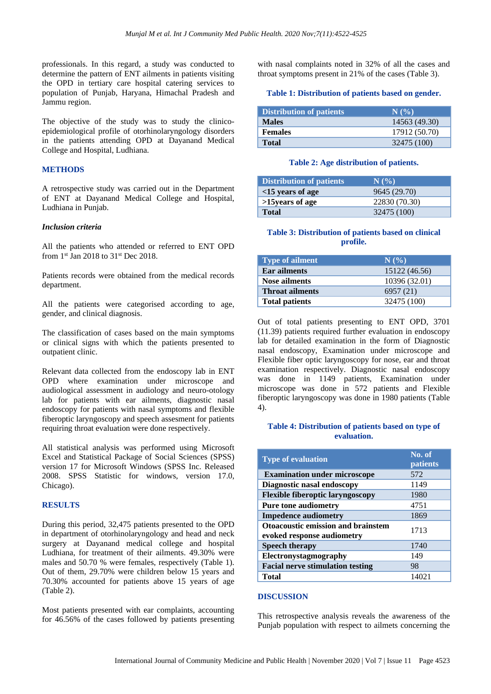professionals. In this regard, a study was conducted to determine the pattern of ENT ailments in patients visiting the OPD in tertiary care hospital catering services to population of Punjab, Haryana, Himachal Pradesh and Jammu region.

The objective of the study was to study the clinicoepidemiological profile of otorhinolaryngology disorders in the patients attending OPD at Dayanand Medical College and Hospital, Ludhiana.

# **METHODS**

A retrospective study was carried out in the Department of ENT at Dayanand Medical College and Hospital, Ludhiana in Punjab.

#### *Inclusion criteria*

All the patients who attended or referred to ENT OPD from 1<sup>st</sup> Jan 2018 to 31<sup>st</sup> Dec 2018.

Patients records were obtained from the medical records department.

All the patients were categorised according to age, gender, and clinical diagnosis.

The classification of cases based on the main symptoms or clinical signs with which the patients presented to outpatient clinic.

Relevant data collected from the endoscopy lab in ENT OPD where examination under microscope and audiological assessment in audiology and neuro-otology lab for patients with ear ailments, diagnostic nasal endoscopy for patients with nasal symptoms and flexible fiberoptic laryngoscopy and speech assesment for patients requiring throat evaluation were done respectively.

All statistical analysis was performed using Microsoft Excel and Statistical Package of Social Sciences (SPSS) version 17 for Microsoft Windows (SPSS Inc. Released 2008. SPSS Statistic for windows, version 17.0, Chicago).

#### **RESULTS**

During this period, 32,475 patients presented to the OPD in department of otorhinolaryngology and head and neck surgery at Dayanand medical college and hospital Ludhiana, for treatment of their ailments. 49.30% were males and 50.70 % were females, respectively (Table 1). Out of them, 29.70% were children below 15 years and 70.30% accounted for patients above 15 years of age (Table 2).

Most patients presented with ear complaints, accounting for 46.56% of the cases followed by patients presenting with nasal complaints noted in 32% of all the cases and throat symptoms present in 21% of the cases (Table 3).

#### **Table 1: Distribution of patients based on gender.**

| <b>Distribution of patients</b> | N(%)          |
|---------------------------------|---------------|
| <b>Males</b>                    | 14563 (49.30) |
| <b>Females</b>                  | 17912 (50.70) |
| <b>Total</b>                    | 32475 (100)   |

#### **Table 2: Age distribution of patients.**

| Distribution of patients | N(%           |
|--------------------------|---------------|
| $<$ 15 years of age      | 9645 (29.70)  |
| >15 years of age         | 22830 (70.30) |
| <b>Total</b>             | 32475 (100)   |

### **Table 3: Distribution of patients based on clinical profile.**

| <b>Type of ailment</b> | N(%           |
|------------------------|---------------|
| <b>Ear ailments</b>    | 15122 (46.56) |
| <b>Nose ailments</b>   | 10396 (32.01) |
| <b>Throat ailments</b> | 6957 (21)     |
| <b>Total patients</b>  | 32475 (100)   |

Out of total patients presenting to ENT OPD, 3701 (11.39) patients required further evaluation in endoscopy lab for detailed examination in the form of Diagnostic nasal endoscopy, Examination under microscope and Flexible fiber optic laryngoscopy for nose, ear and throat examination respectively. Diagnostic nasal endoscopy was done in 1149 patients, Examination under microscope was done in 572 patients and Flexible fiberoptic laryngoscopy was done in 1980 patients (Table 4).

#### **Table 4: Distribution of patients based on type of evaluation.**

| <b>Type of evaluation</b>                                               | No. of<br><b>patients</b> |
|-------------------------------------------------------------------------|---------------------------|
| <b>Examination under microscope</b>                                     | 572                       |
| Diagnostic nasal endoscopy                                              | 1149                      |
| <b>Flexible fiberoptic laryngoscopy</b>                                 | 1980                      |
| <b>Pure tone audiometry</b>                                             | 4751                      |
| <b>Impedence audiometry</b>                                             | 1869                      |
| <b>Otoacoustic emission and brainstem</b><br>evoked response audiometry | 1713                      |
| <b>Speech therapy</b>                                                   | 1740                      |
| Electronystagmography                                                   | 149                       |
| <b>Facial nerve stimulation testing</b>                                 | 98                        |
| <b>Total</b>                                                            | 14021                     |

#### **DISCUSSION**

This retrospective analysis reveals the awareness of the Punjab population with respect to ailmets concerning the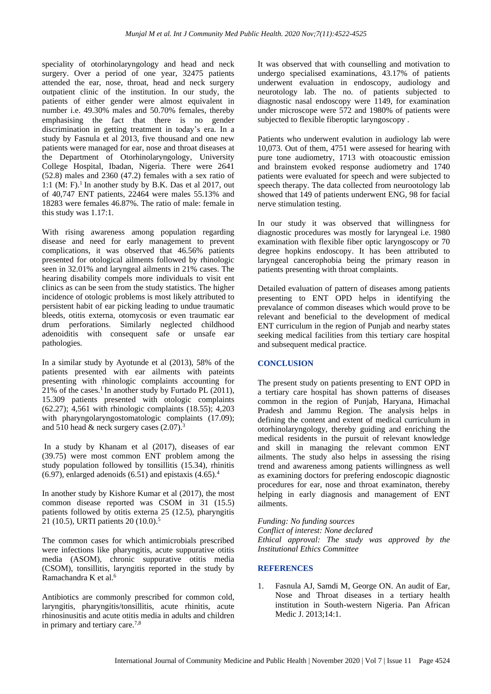speciality of otorhinolaryngology and head and neck surgery. Over a period of one year, 32475 patients attended the ear, nose, throat, head and neck surgery outpatient clinic of the institution. In our study, the patients of either gender were almost equivalent in number i.e. 49.30% males and 50.70% females, thereby emphasising the fact that there is no gender discrimination in getting treatment in today's era. In a study by Fasnula et al 2013, five thousand and one new patients were managed for ear, nose and throat diseases at the Department of Otorhinolaryngology, University College Hospital, Ibadan, Nigeria. There were 2641 (52.8) males and 2360 (47.2) females with a sex ratio of 1:1 (M: F). $<sup>1</sup>$  In another study by B.K. Das et al 2017, out</sup> of 40,747 ENT patients, 22464 were males 55.13% and 18283 were females 46.87%. The ratio of male: female in this study was 1.17:1.

With rising awareness among population regarding disease and need for early management to prevent complications, it was observed that 46.56% patients presented for otological ailments followed by rhinologic seen in 32.01% and laryngeal ailments in 21% cases. The hearing disability compels more individuals to visit ent clinics as can be seen from the study statistics. The higher incidence of otologic problems is most likely attributed to persistent habit of ear picking leading to undue traumatic bleeds, otitis externa, otomycosis or even traumatic ear drum perforations. Similarly neglected childhood adenoiditis with consequent safe or unsafe ear pathologies.

In a similar study by Ayotunde et al (2013), 58% of the patients presented with ear ailments with pateints presenting with rhinologic complaints accounting for 21% of the cases.<sup>1</sup> In another study by Furtado PL (2011), 15.309 patients presented with otologic complaints (62.27); 4,561 with rhinologic complaints (18.55); 4,203 with pharyngolaryngostomatologic complaints (17.09); and 510 head  $&$  neck surgery cases  $(2.07).$ <sup>3</sup>

In a study by Khanam et al (2017), diseases of ear (39.75) were most common ENT problem among the study population followed by tonsillitis (15.34), rhinitis  $(6.97)$ , enlarged adenoids  $(6.51)$  and epistaxis  $(4.65)$ .<sup>4</sup>

In another study by Kishore Kumar et al (2017), the most common disease reported was CSOM in 31 (15.5) patients followed by otitis externa 25 (12.5), pharyngitis 21 (10.5), URTI patients 20 (10.0). 5

The common cases for which antimicrobials prescribed were infections like pharyngitis, acute suppurative otitis media (ASOM), chronic suppurative otitis media (CSOM), tonsillitis, laryngitis reported in the study by Ramachandra K et al. 6

Antibiotics are commonly prescribed for common cold, laryngitis, pharyngitis/tonsillitis, acute rhinitis, acute rhinosinusitis and acute otitis media in adults and children in primary and tertiary care.7,8

It was observed that with counselling and motivation to undergo specialised examinations, 43.17% of patients underwent evaluation in endoscopy, audiology and neurotology lab. The no. of patients subjected to diagnostic nasal endoscopy were 1149, for examination under microscope were 572 and 1980% of patients were subjected to flexible fiberoptic laryngoscopy .

Patients who underwent evalution in audiology lab were 10,073. Out of them, 4751 were assesed for hearing with pure tone audiometry, 1713 with otoacoustic emission and brainstem evoked response audiometry and 1740 patients were evaluated for speech and were subjected to speech therapy. The data collected from neurootology lab showed that 149 of patients underwent ENG, 98 for facial nerve stimulation testing.

In our study it was observed that willingness for diagnostic procedures was mostly for laryngeal i.e. 1980 examination with flexible fiber optic laryngoscopy or 70 degree hopkins endoscopy. It has been attributed to laryngeal cancerophobia being the primary reason in patients presenting with throat complaints.

Detailed evaluation of pattern of diseases among patients presenting to ENT OPD helps in identifying the prevalance of common diseases which would prove to be relevant and beneficial to the development of medical ENT curriculum in the region of Punjab and nearby states seeking medical facilities from this tertiary care hospital and subsequent medical practice.

# **CONCLUSION**

The present study on patients presenting to ENT OPD in a tertiary care hospital has shown patterns of diseases common in the region of Punjab, Haryana, Himachal Pradesh and Jammu Region. The analysis helps in defining the content and extent of medical curriculum in otorhinolaryngology, thereby guiding and enriching the medical residents in the pursuit of relevant knowledge and skill in managing the relevant common ENT ailments. The study also helps in assessing the rising trend and awareness among patients willingness as well as examining doctors for prefering endoscopic diagnostic procedures for ear, nose and throat examinaton, thereby helping in early diagnosis and management of ENT ailments.

*Funding: No funding sources*

*Conflict of interest: None declared*

*Ethical approval: The study was approved by the Institutional Ethics Committee*

# **REFERENCES**

1. Fasnula AJ, Samdi M, George ON. An audit of Ear, Nose and Throat diseases in a tertiary health institution in South-western Nigeria. Pan African Medic J. 2013;14:1.